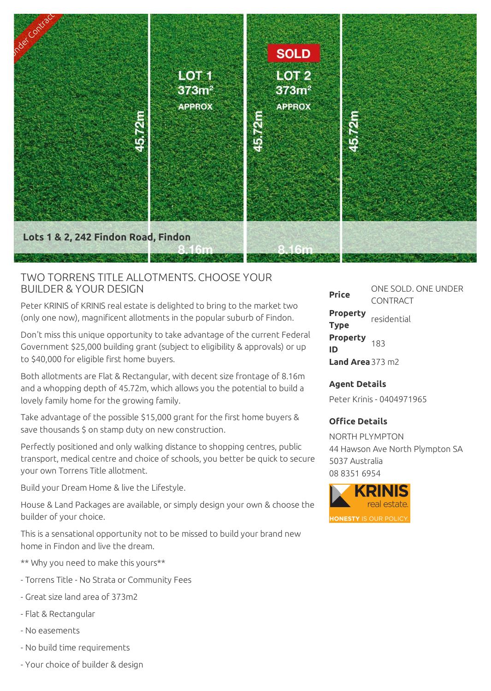

## TWO TORRENS TITLE ALLOTMENTS. CHOOSE YOUR BUILDER & YOUR DESIGN

Peter KRINIS of KRINIS real estate is delighted to bring to the market two (only one now), magnificent allotments in the popular suburb of Findon.

Don't miss this unique opportunity to take advantage of the current Federal Government \$25,000 building grant (subject to eligibility & approvals) or up to \$40,000 for eligible first home buyers.

Both allotments are Flat & Rectangular, with decent size frontage of 8.16m and a whopping depth of 45.72m, which allows you the potential to build a lovely family home for the growing family.

Take advantage of the possible \$15,000 grant for the first home buyers & save thousands \$ on stamp duty on new construction.

Perfectly positioned and only walking distance to shopping centres, public transport, medical centre and choice of schools, you better be quick to secure your own Torrens Title allotment.

Build your Dream Home & live the Lifestyle.

House & Land Packages are available, or simply design your own & choose the builder of your choice.

This is a sensational opportunity not to be missed to build your brand new home in Findon and live the dream.

- \*\* Why you need to make this yours\*\*
- Torrens Title No Strata or Community Fees
- Great size land area of 373m2
- Flat & Rectangular
- No easements
- No build time requirements
- Your choice of builder & design

**Price** ONE SOLD. ONE UNDER CONTRACT **Property Type** residential **Property** 183<br>**ID Land Area**373 m2

## **Agent Details**

Peter Krinis - 0404971965

## **Office Details**

NORTH PLYMPTON 44 Hawson Ave North Plympton SA 5037 Australia 08 8351 6954